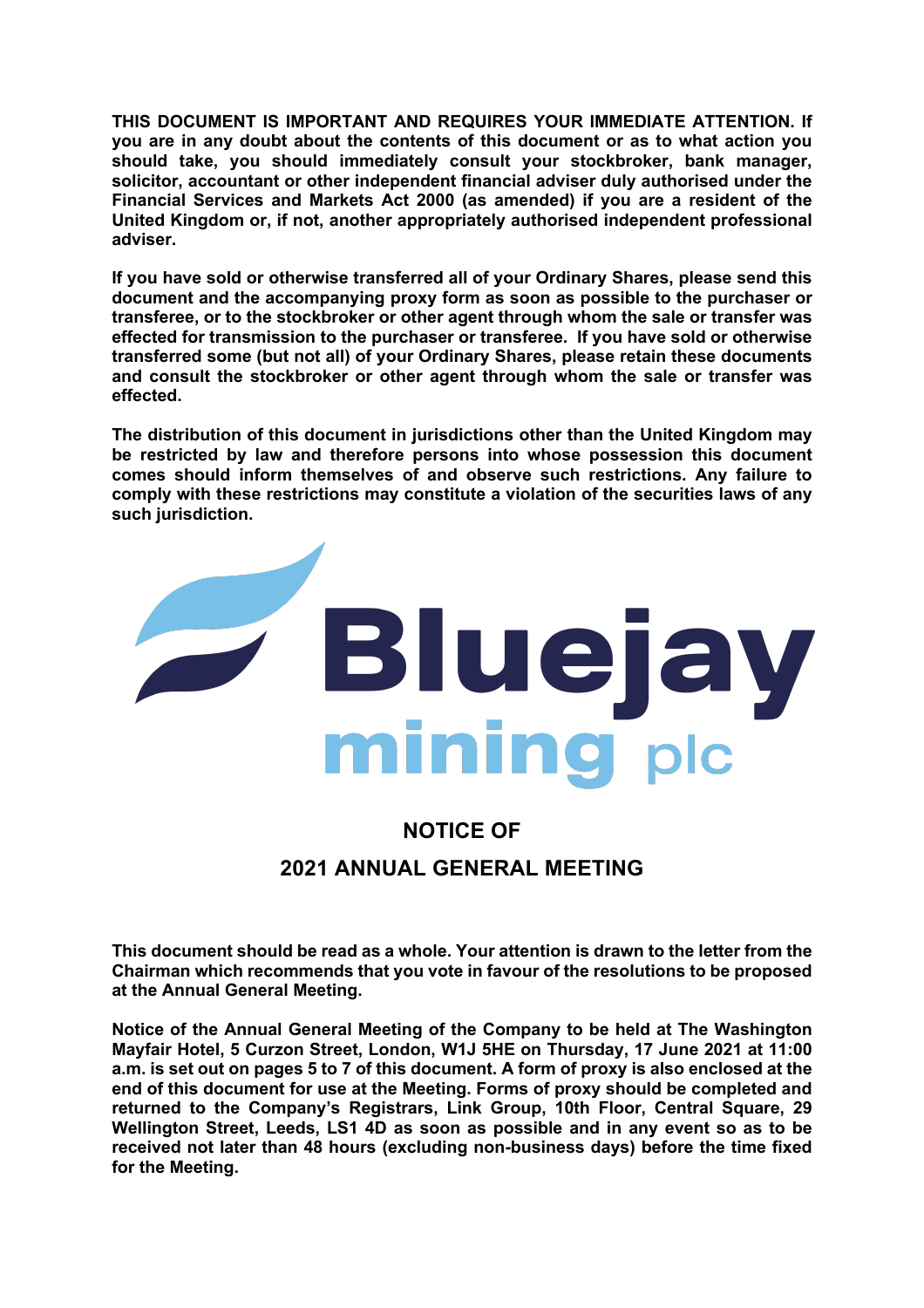**THIS DOCUMENT IS IMPORTANT AND REQUIRES YOUR IMMEDIATE ATTENTION. If you are in any doubt about the contents of this document or as to what action you should take, you should immediately consult your stockbroker, bank manager, solicitor, accountant or other independent financial adviser duly authorised under the Financial Services and Markets Act 2000 (as amended) if you are a resident of the United Kingdom or, if not, another appropriately authorised independent professional adviser.**

**If you have sold or otherwise transferred all of your Ordinary Shares, please send this document and the accompanying proxy form as soon as possible to the purchaser or transferee, or to the stockbroker or other agent through whom the sale or transfer was effected for transmission to the purchaser or transferee. If you have sold or otherwise transferred some (but not all) of your Ordinary Shares, please retain these documents and consult the stockbroker or other agent through whom the sale or transfer was effected.**

**The distribution of this document in jurisdictions other than the United Kingdom may be restricted by law and therefore persons into whose possession this document comes should inform themselves of and observe such restrictions. Any failure to comply with these restrictions may constitute a violation of the securities laws of any such jurisdiction.**



# **NOTICE OF 2021 ANNUAL GENERAL MEETING**

**This document should be read as a whole. Your attention is drawn to the letter from the Chairman which recommends that you vote in favour of the resolutions to be proposed at the Annual General Meeting.** 

**Notice of the Annual General Meeting of the Company to be held at The Washington Mayfair Hotel, 5 Curzon Street, London, W1J 5HE on Thursday, 17 June 2021 at 11:00 a.m. is set out on pages 5 to 7 of this document. A form of proxy is also enclosed at the end of this document for use at the Meeting. Forms of proxy should be completed and returned to the Company's Registrars, Link Group, 10th Floor, Central Square, 29 Wellington Street, Leeds, LS1 4D as soon as possible and in any event so as to be received not later than 48 hours (excluding non-business days) before the time fixed for the Meeting.**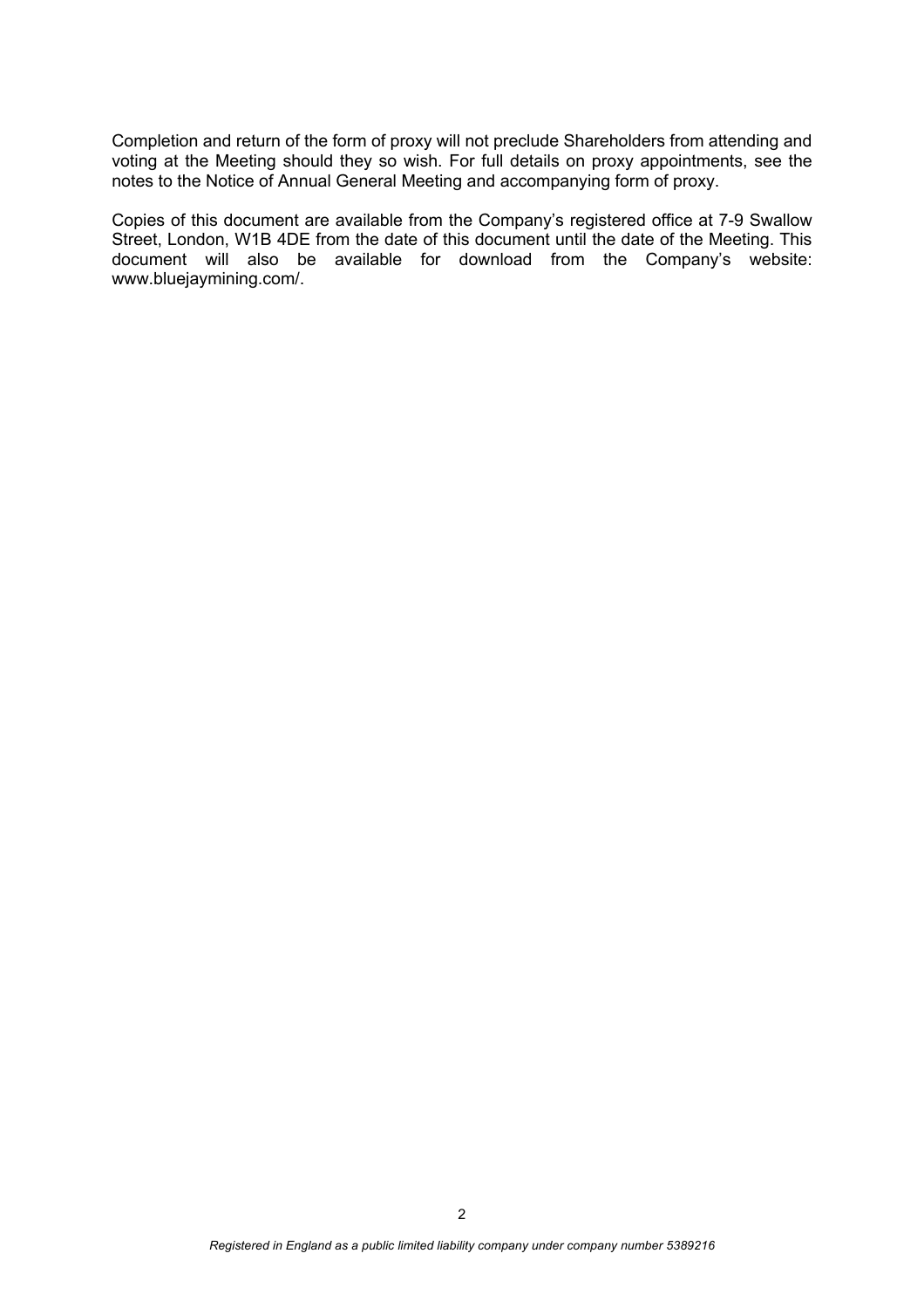Completion and return of the form of proxy will not preclude Shareholders from attending and voting at the Meeting should they so wish. For full details on proxy appointments, see the notes to the Notice of Annual General Meeting and accompanying form of proxy.

Copies of this document are available from the Company's registered office at 7-9 Swallow Street, London, W1B 4DE from the date of this document until the date of the Meeting. This document will also be available for download from the Company's website: www.bluejaymining.com/.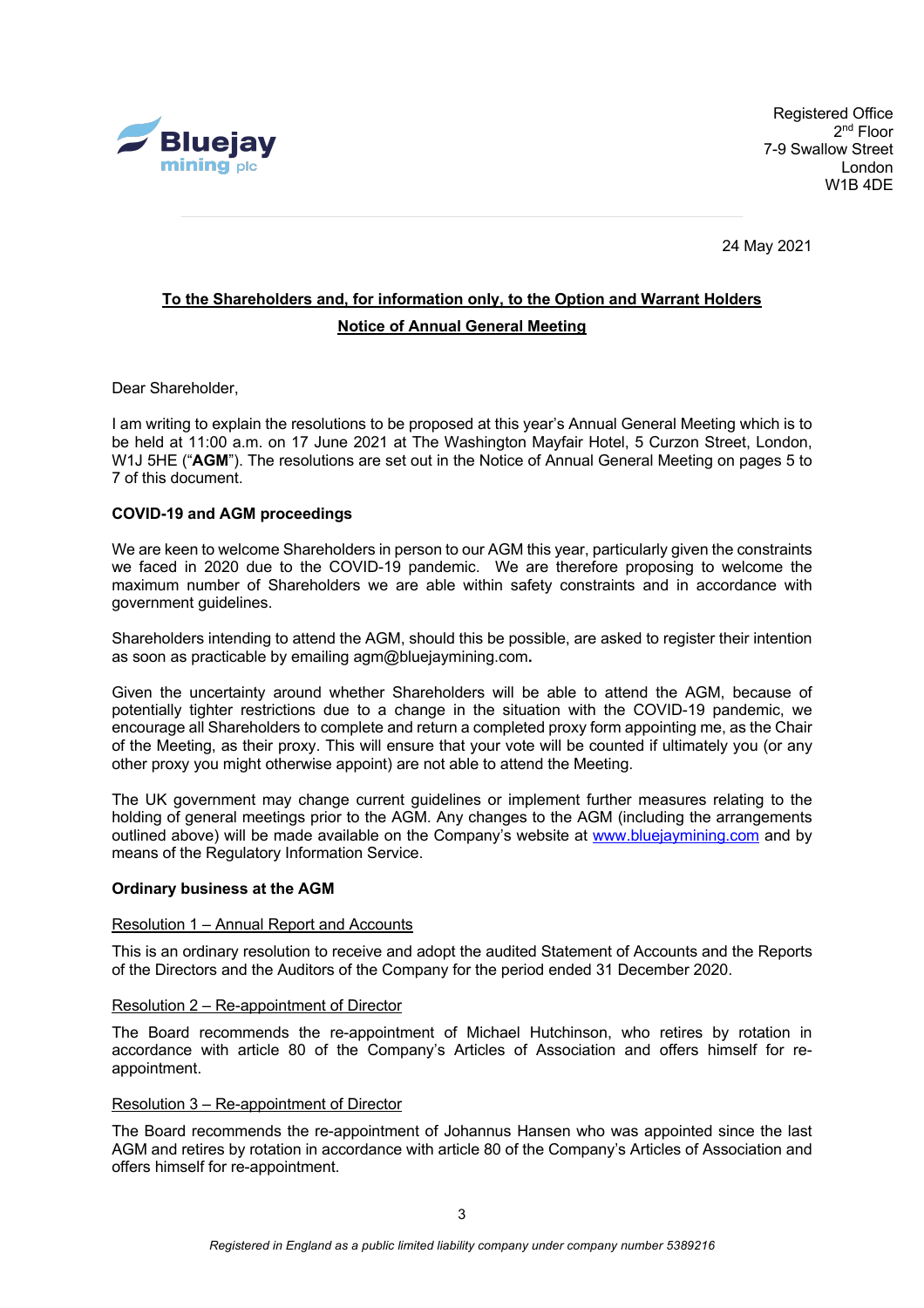

Registered Office 2nd Floor 7-9 Swallow Street London W1B 4DE

24 May 2021

# **To the Shareholders and, for information only, to the Option and Warrant Holders Notice of Annual General Meeting**

Dear Shareholder,

I am writing to explain the resolutions to be proposed at this year's Annual General Meeting which is to be held at 11:00 a.m. on 17 June 2021 at The Washington Mayfair Hotel, 5 Curzon Street, London, W1J 5HE ("**AGM**"). The resolutions are set out in the Notice of Annual General Meeting on pages 5 to 7 of this document.

# **COVID-19 and AGM proceedings**

We are keen to welcome Shareholders in person to our AGM this year, particularly given the constraints we faced in 2020 due to the COVID-19 pandemic. We are therefore proposing to welcome the maximum number of Shareholders we are able within safety constraints and in accordance with government guidelines.

Shareholders intending to attend the AGM, should this be possible, are asked to register their intention as soon as practicable by emailing agm@bluejaymining.com**.**

Given the uncertainty around whether Shareholders will be able to attend the AGM, because of potentially tighter restrictions due to a change in the situation with the COVID-19 pandemic, we encourage all Shareholders to complete and return a completed proxy form appointing me, as the Chair of the Meeting, as their proxy. This will ensure that your vote will be counted if ultimately you (or any other proxy you might otherwise appoint) are not able to attend the Meeting.

The UK government may change current guidelines or implement further measures relating to the holding of general meetings prior to the AGM. Any changes to the AGM (including the arrangements outlined above) will be made available on the Company's website at www.bluejaymining.com and by means of the Regulatory Information Service.

# **Ordinary business at the AGM**

# Resolution 1 – Annual Report and Accounts

This is an ordinary resolution to receive and adopt the audited Statement of Accounts and the Reports of the Directors and the Auditors of the Company for the period ended 31 December 2020.

# Resolution 2 – Re-appointment of Director

The Board recommends the re-appointment of Michael Hutchinson, who retires by rotation in accordance with article 80 of the Company's Articles of Association and offers himself for reappointment.

# Resolution 3 – Re-appointment of Director

The Board recommends the re-appointment of Johannus Hansen who was appointed since the last AGM and retires by rotation in accordance with article 80 of the Company's Articles of Association and offers himself for re-appointment.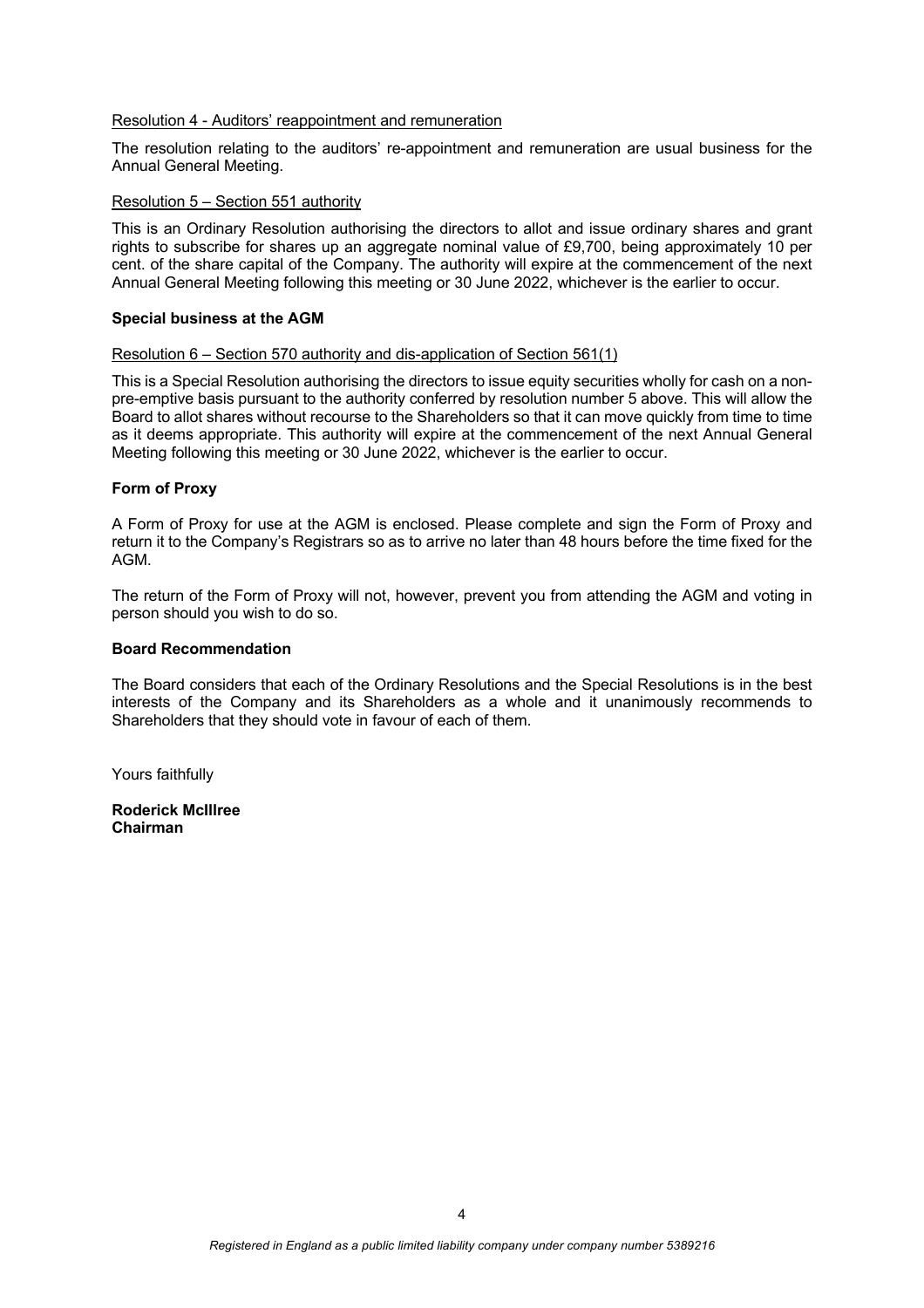#### Resolution 4 - Auditors' reappointment and remuneration

The resolution relating to the auditors' re-appointment and remuneration are usual business for the Annual General Meeting.

#### Resolution 5 – Section 551 authority

This is an Ordinary Resolution authorising the directors to allot and issue ordinary shares and grant rights to subscribe for shares up an aggregate nominal value of £9,700, being approximately 10 per cent. of the share capital of the Company. The authority will expire at the commencement of the next Annual General Meeting following this meeting or 30 June 2022, whichever is the earlier to occur.

#### **Special business at the AGM**

#### Resolution 6 – Section 570 authority and dis-application of Section 561(1)

This is a Special Resolution authorising the directors to issue equity securities wholly for cash on a nonpre-emptive basis pursuant to the authority conferred by resolution number 5 above. This will allow the Board to allot shares without recourse to the Shareholders so that it can move quickly from time to time as it deems appropriate. This authority will expire at the commencement of the next Annual General Meeting following this meeting or 30 June 2022, whichever is the earlier to occur.

#### **Form of Proxy**

A Form of Proxy for use at the AGM is enclosed. Please complete and sign the Form of Proxy and return it to the Company's Registrars so as to arrive no later than 48 hours before the time fixed for the AGM.

The return of the Form of Proxy will not, however, prevent you from attending the AGM and voting in person should you wish to do so.

#### **Board Recommendation**

The Board considers that each of the Ordinary Resolutions and the Special Resolutions is in the best interests of the Company and its Shareholders as a whole and it unanimously recommends to Shareholders that they should vote in favour of each of them.

Yours faithfully

**Roderick McIllree Chairman**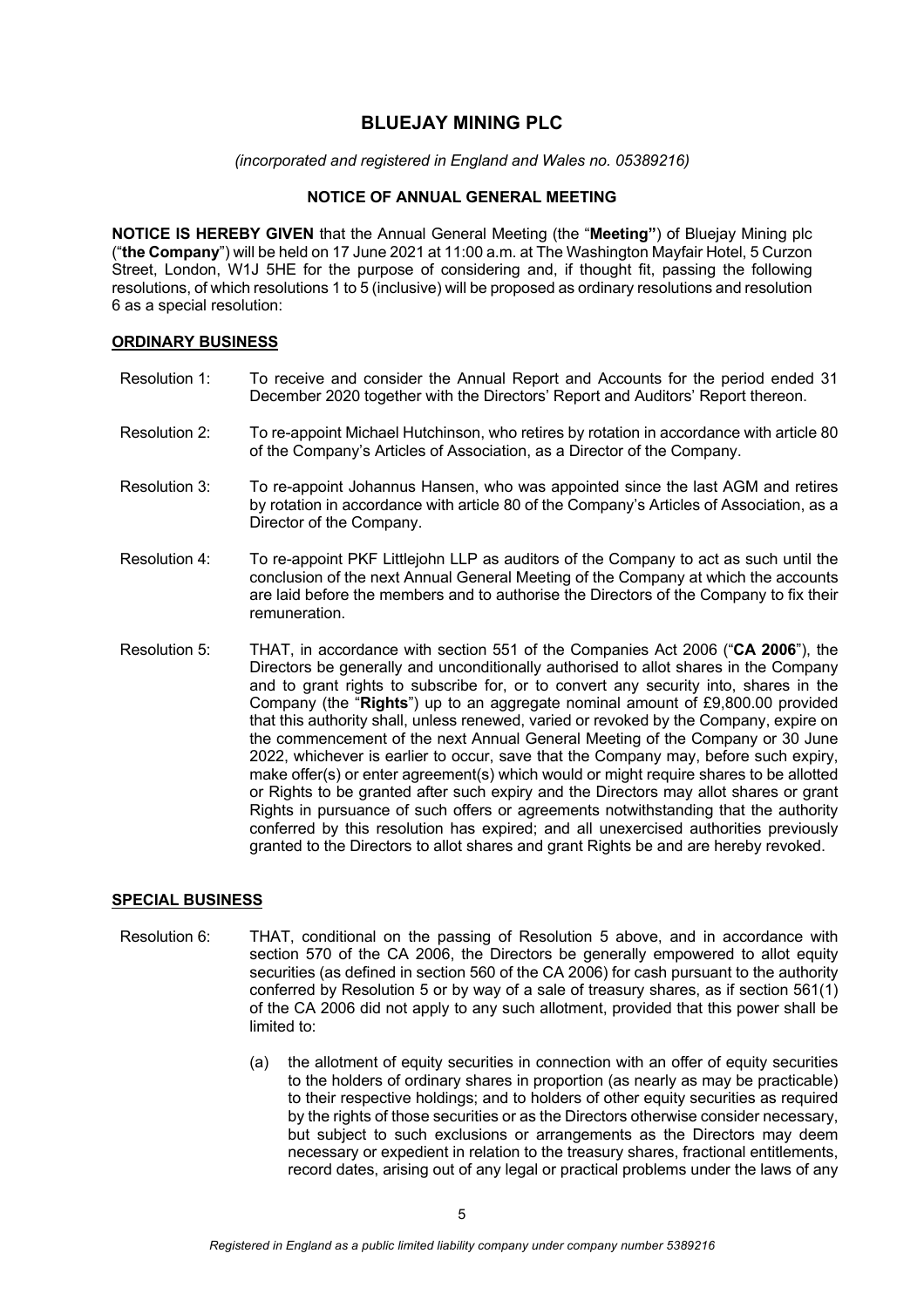# **BLUEJAY MINING PLC**

*(incorporated and registered in England and Wales no. 05389216)*

# **NOTICE OF ANNUAL GENERAL MEETING**

**NOTICE IS HEREBY GIVEN** that the Annual General Meeting (the "**Meeting"**) of Bluejay Mining plc ("**the Company**") will be held on 17 June 2021 at 11:00 a.m. at The Washington Mayfair Hotel, 5 Curzon Street, London, W1J 5HE for the purpose of considering and, if thought fit, passing the following resolutions, of which resolutions 1 to 5 (inclusive) will be proposed as ordinary resolutions and resolution 6 as a special resolution:

# **ORDINARY BUSINESS**

- Resolution 1: To receive and consider the Annual Report and Accounts for the period ended 31 December 2020 together with the Directors' Report and Auditors' Report thereon.
- Resolution 2: To re-appoint Michael Hutchinson, who retires by rotation in accordance with article 80 of the Company's Articles of Association, as a Director of the Company.
- Resolution 3: To re-appoint Johannus Hansen, who was appointed since the last AGM and retires by rotation in accordance with article 80 of the Company's Articles of Association, as a Director of the Company.
- Resolution 4: To re-appoint PKF Littlejohn LLP as auditors of the Company to act as such until the conclusion of the next Annual General Meeting of the Company at which the accounts are laid before the members and to authorise the Directors of the Company to fix their remuneration.
- Resolution 5: THAT, in accordance with section 551 of the Companies Act 2006 ("**CA 2006**"), the Directors be generally and unconditionally authorised to allot shares in the Company and to grant rights to subscribe for, or to convert any security into, shares in the Company (the "**Rights**") up to an aggregate nominal amount of £9,800.00 provided that this authority shall, unless renewed, varied or revoked by the Company, expire on the commencement of the next Annual General Meeting of the Company or 30 June 2022, whichever is earlier to occur, save that the Company may, before such expiry, make offer(s) or enter agreement(s) which would or might require shares to be allotted or Rights to be granted after such expiry and the Directors may allot shares or grant Rights in pursuance of such offers or agreements notwithstanding that the authority conferred by this resolution has expired; and all unexercised authorities previously granted to the Directors to allot shares and grant Rights be and are hereby revoked.

# **SPECIAL BUSINESS**

- Resolution 6: THAT, conditional on the passing of Resolution 5 above, and in accordance with section 570 of the CA 2006, the Directors be generally empowered to allot equity securities (as defined in section 560 of the CA 2006) for cash pursuant to the authority conferred by Resolution 5 or by way of a sale of treasury shares, as if section 561(1) of the CA 2006 did not apply to any such allotment, provided that this power shall be limited to:
	- (a) the allotment of equity securities in connection with an offer of equity securities to the holders of ordinary shares in proportion (as nearly as may be practicable) to their respective holdings; and to holders of other equity securities as required by the rights of those securities or as the Directors otherwise consider necessary, but subject to such exclusions or arrangements as the Directors may deem necessary or expedient in relation to the treasury shares, fractional entitlements, record dates, arising out of any legal or practical problems under the laws of any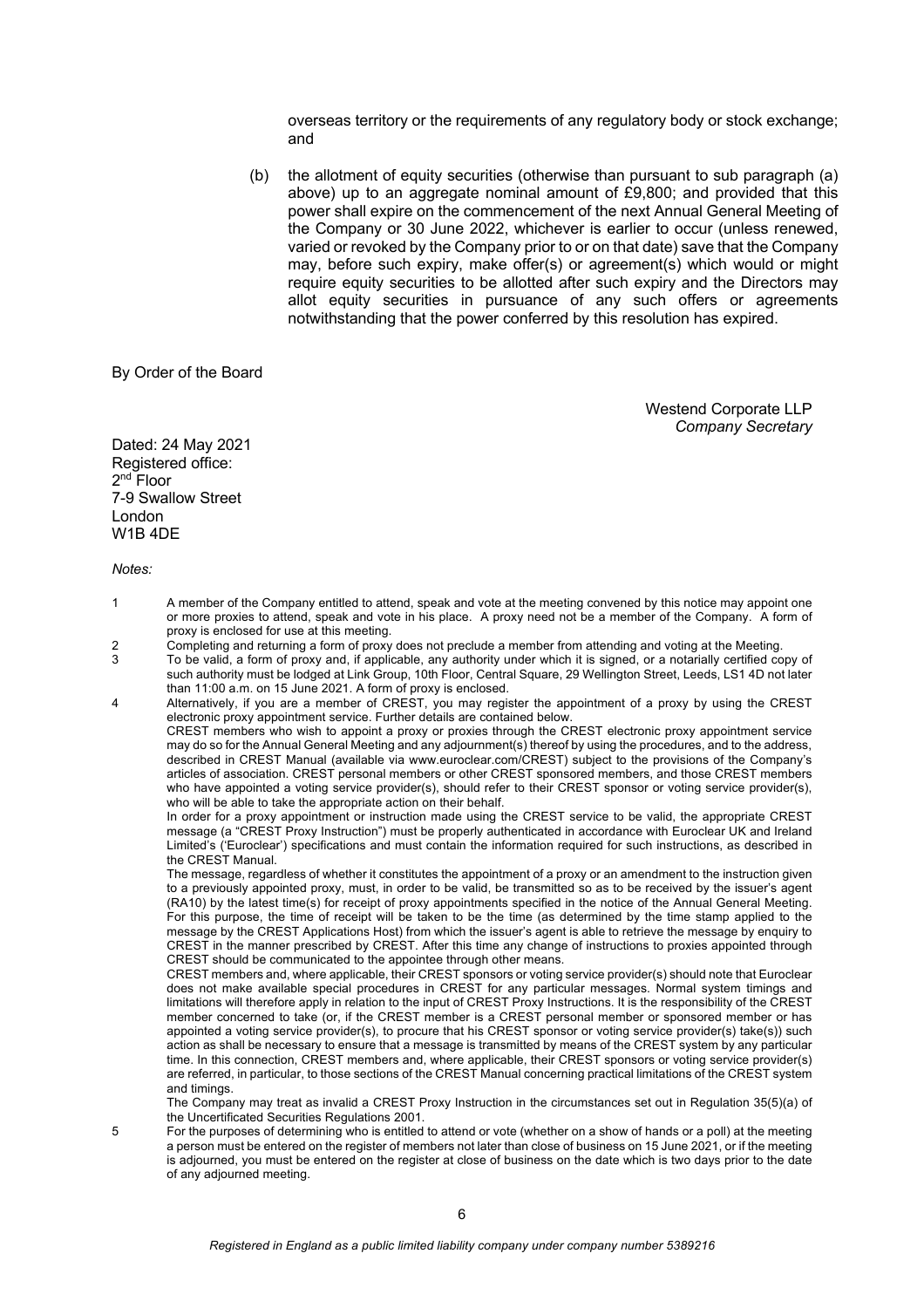overseas territory or the requirements of any regulatory body or stock exchange; and

(b) the allotment of equity securities (otherwise than pursuant to sub paragraph (a) above) up to an aggregate nominal amount of £9,800; and provided that this power shall expire on the commencement of the next Annual General Meeting of the Company or 30 June 2022, whichever is earlier to occur (unless renewed, varied or revoked by the Company prior to or on that date) save that the Company may, before such expiry, make offer(s) or agreement(s) which would or might require equity securities to be allotted after such expiry and the Directors may allot equity securities in pursuance of any such offers or agreements notwithstanding that the power conferred by this resolution has expired.

By Order of the Board

Westend Corporate LLP *Company Secretary* 

Dated: 24 May 2021 Registered office: 2nd Floor 7-9 Swallow Street London W1B 4DE

*Notes:* 

- 1 A member of the Company entitled to attend, speak and vote at the meeting convened by this notice may appoint one or more proxies to attend, speak and vote in his place. A proxy need not be a member of the Company. A form of proxy is enclosed for use at this meeting.
- 2 Completing and returning a form of proxy does not preclude a member from attending and voting at the Meeting.<br>2 To be valid a form of proxy and if applicable any authority under which it is signed or a potarially certifi
- 3 To be valid, a form of proxy and, if applicable, any authority under which it is signed, or a notarially certified copy of such authority must be lodged at Link Group, 10th Floor, Central Square, 29 Wellington Street, Leeds, LS1 4D not later than 11:00 a.m. on 15 June 2021. A form of proxy is enclosed.
- 4 Alternatively, if you are a member of CREST, you may register the appointment of a proxy by using the CREST electronic proxy appointment service. Further details are contained below.

CREST members who wish to appoint a proxy or proxies through the CREST electronic proxy appointment service may do so for the Annual General Meeting and any adjournment(s) thereof by using the procedures, and to the address, described in CREST Manual (available via www.euroclear.com/CREST) subject to the provisions of the Company's articles of association. CREST personal members or other CREST sponsored members, and those CREST members who have appointed a voting service provider(s), should refer to their CREST sponsor or voting service provider(s), who will be able to take the appropriate action on their behalf.

In order for a proxy appointment or instruction made using the CREST service to be valid, the appropriate CREST message (a "CREST Proxy Instruction") must be properly authenticated in accordance with Euroclear UK and Ireland Limited's ('Euroclear') specifications and must contain the information required for such instructions, as described in the CREST Manual.

The message, regardless of whether it constitutes the appointment of a proxy or an amendment to the instruction given to a previously appointed proxy, must, in order to be valid, be transmitted so as to be received by the issuer's agent (RA10) by the latest time(s) for receipt of proxy appointments specified in the notice of the Annual General Meeting. For this purpose, the time of receipt will be taken to be the time (as determined by the time stamp applied to the message by the CREST Applications Host) from which the issuer's agent is able to retrieve the message by enquiry to CREST in the manner prescribed by CREST. After this time any change of instructions to proxies appointed through CREST should be communicated to the appointee through other means.

CREST members and, where applicable, their CREST sponsors or voting service provider(s) should note that Euroclear does not make available special procedures in CREST for any particular messages. Normal system timings and limitations will therefore apply in relation to the input of CREST Proxy Instructions. It is the responsibility of the CREST member concerned to take (or, if the CREST member is a CREST personal member or sponsored member or has appointed a voting service provider(s), to procure that his CREST sponsor or voting service provider(s) take(s)) such action as shall be necessary to ensure that a message is transmitted by means of the CREST system by any particular time. In this connection, CREST members and, where applicable, their CREST sponsors or voting service provider(s) are referred, in particular, to those sections of the CREST Manual concerning practical limitations of the CREST system and timings.

The Company may treat as invalid a CREST Proxy Instruction in the circumstances set out in Regulation 35(5)(a) of the Uncertificated Securities Regulations 2001.

5 For the purposes of determining who is entitled to attend or vote (whether on a show of hands or a poll) at the meeting a person must be entered on the register of members not later than close of business on 15 June 2021, or if the meeting is adjourned, you must be entered on the register at close of business on the date which is two days prior to the date of any adjourned meeting.